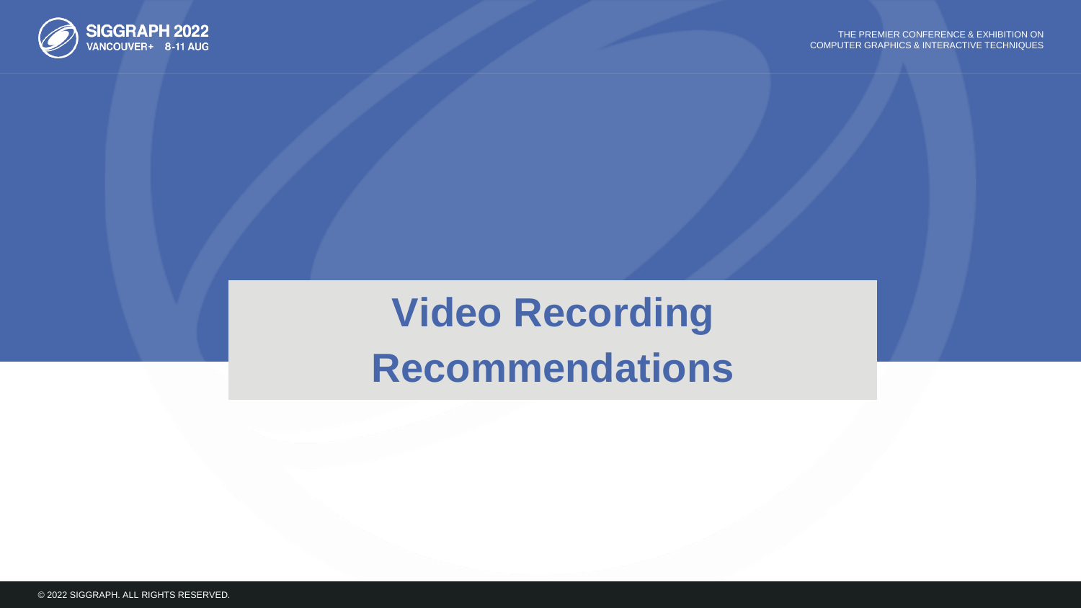

# **Video Recording Recommendations**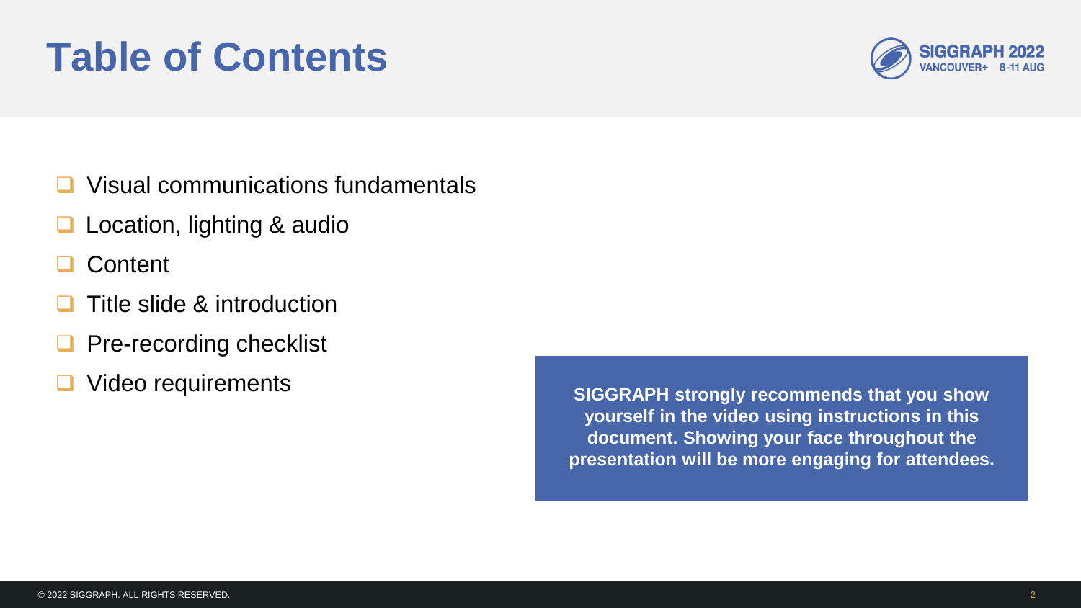# **Table of Contents**

- **□** Visual communications fundamentals
- Location, lighting & audio
- **Content**
- Title slide & introduction
- **Pre-recording checklist**
- **□** Video requirements

**SIGGRAPH strongly recommends that you show yourself in the video using instructions in this document. Showing your face throughout the presentation will be more engaging for attendees.**

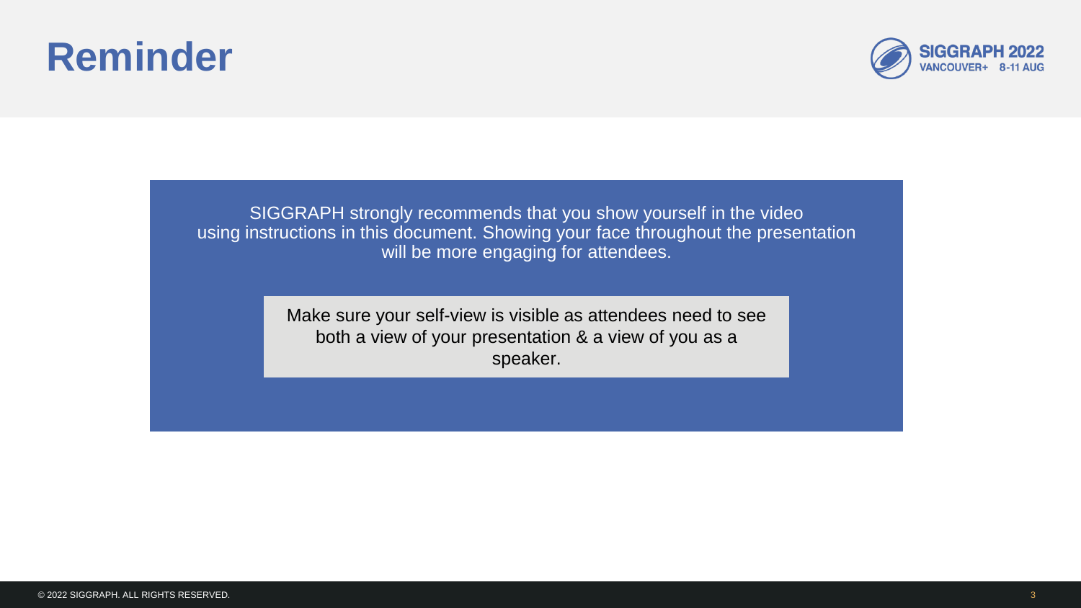# **Reminder**



SIGGRAPH strongly recommends that you show yourself in the video using instructions in this document. Showing your face throughout the presentation will be more engaging for attendees.

> Make sure your self-view is visible as attendees need to see both a view of your presentation & a view of you as a speaker.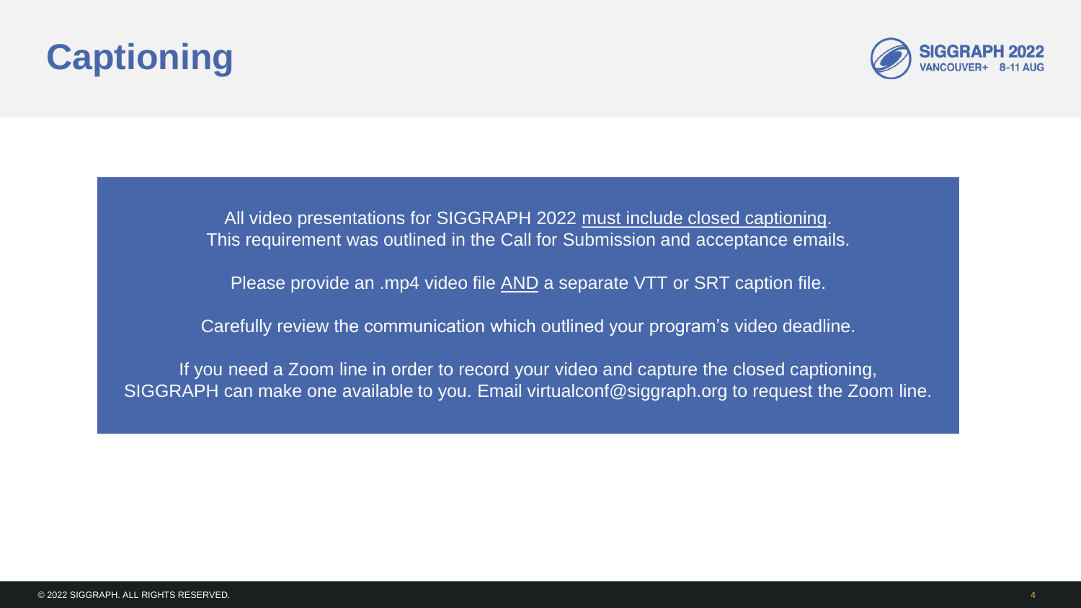## **Captioning**



All video presentations for SIGGRAPH 2022 must include closed captioning. This requirement was outlined in the Call for Submission and acceptance emails.

Please provide an .mp4 video file AND a separate VTT or SRT caption file.

Carefully review the communication which outlined your program's video deadline.

If you need a Zoom line in order to record your video and capture the closed captioning, SIGGRAPH can make one available to you. Email virtualconf@siggraph.org to request the Zoom line.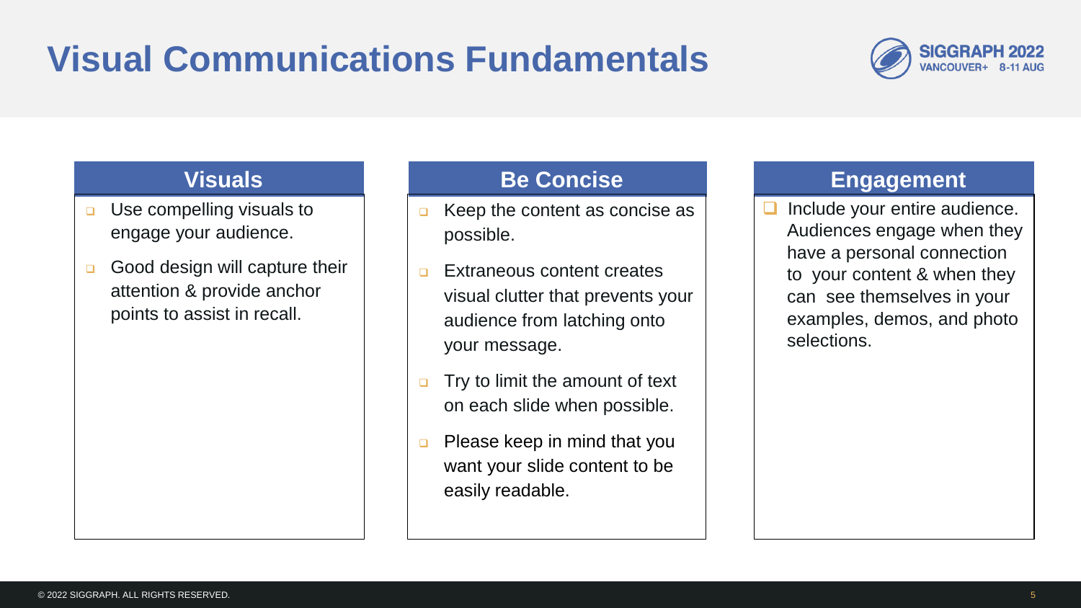## **Visual Communications Fundamentals**



- **<u>D</u>** Use compelling visuals to engage your audience.
- Good design will capture their attention & provide anchor points to assist in recall.

### **Visuals Be Concise**

- $\Box$  Keep the content as concise as possible.
- **Extraneous content creates** visual clutter that prevents your audience from latching onto your message.
- $\Box$  Try to limit the amount of text on each slide when possible.
- $\Box$  Please keep in mind that you want your slide content to be easily readable.

#### **Engagement**

 Include your entire audience. Audiences engage when they have a personal connection to your content & when they can see themselves in your examples, demos, and photo selections.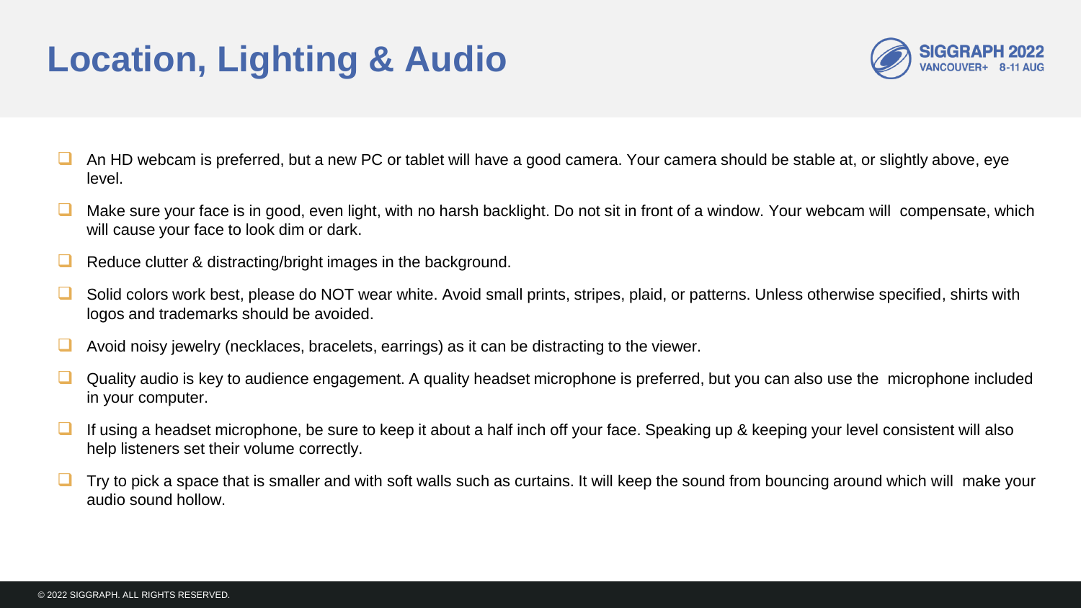### **Location, Lighting & Audio**



- An HD webcam is preferred, but a new PC or tablet will have a good camera. Your camera should be stable at, or slightly above, eye level.
- Make sure your face is in good, even light, with no harsh backlight. Do not sit in front of a window. Your webcam will compensate, which will cause your face to look dim or dark.
- Reduce clutter & distracting/bright images in the background.
- Solid colors work best, please do NOT wear white. Avoid small prints, stripes, plaid, or patterns. Unless otherwise specified, shirts with logos and trademarks should be avoided.
- Avoid noisy jewelry (necklaces, bracelets, earrings) as it can be distracting to the viewer.
- Quality audio is key to audience engagement. A quality headset microphone is preferred, but you can also use the microphone included in your computer.
- If using a headset microphone, be sure to keep it about a half inch off your face. Speaking up & keeping your level consistent will also help listeners set their volume correctly.
- Try to pick a space that is smaller and with soft walls such as curtains. It will keep the sound from bouncing around which will make your audio sound hollow.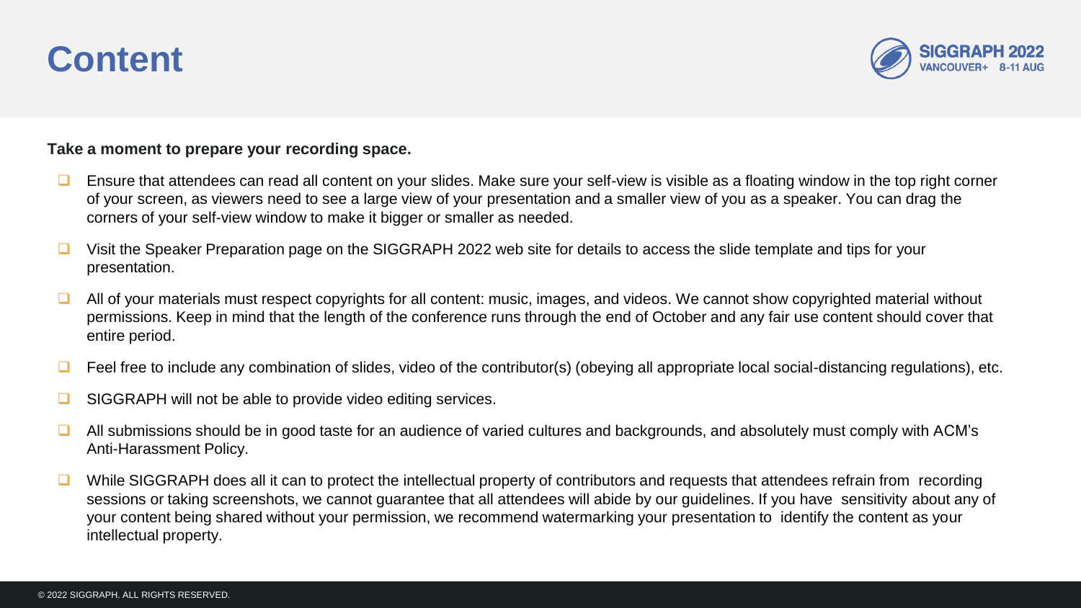### **Content**



**Take a moment to prepare your recording space.**

- Ensure that attendees can read all content on your slides. Make sure your self-view is visible as a floating window in the top right corner of your screen, as viewers need to see a large view of your presentation and a smaller view of you as a speaker. You can drag the corners of your self-view window to make it bigger or smaller as needed.
- Visit the Speaker Preparation page on the SIGGRAPH 2022 web site for details to access the slide template and tips for your presentation.
- $\Box$  All of your materials must respect copyrights for all content: music, images, and videos. We cannot show copyrighted material without permissions. Keep in mind that the length of the conference runs through the end of October and any fair use content should cover that entire period.
- Feel free to include any combination of slides, video of the contributor(s) (obeying all appropriate local social-distancing regulations), etc.
- SIGGRAPH will not be able to provide video editing services.
- $\Box$  All submissions should be in good taste for an audience of varied cultures and backgrounds, and absolutely must comply with ACM's Anti-Harassment Policy.
- $\Box$  While SIGGRAPH does all it can to protect the intellectual property of contributors and requests that attendees refrain from recording sessions or taking screenshots, we cannot guarantee that all attendees will abide by our guidelines. If you have sensitivity about any of your content being shared without your permission, we recommend watermarking your presentation to identify the content as your intellectual property.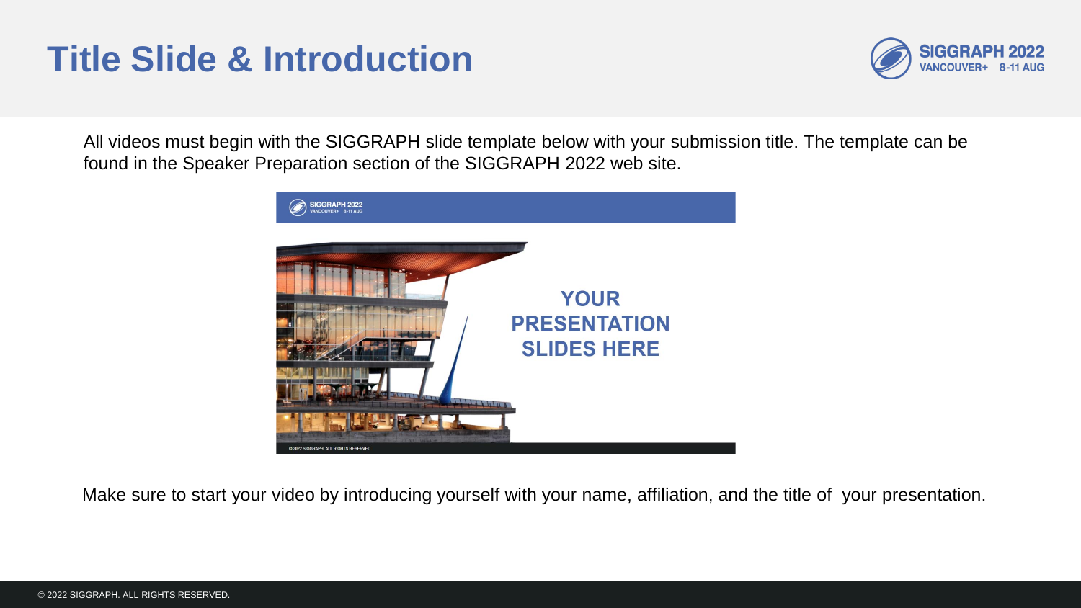### **Title Slide & Introduction**



All videos must begin with the SIGGRAPH slide template below with your submission title. The template can be found in the Speaker Preparation section of the SIGGRAPH 2022 web site.



Make sure to start your video by introducing yourself with your name, affiliation, and the title of your presentation.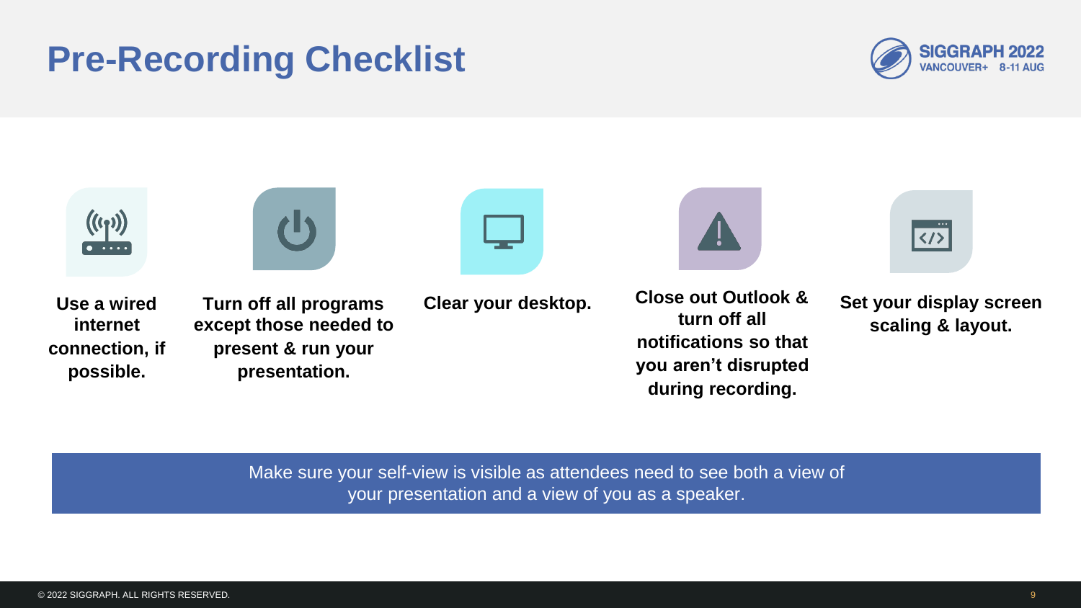### **Pre-Recording Checklist**





Make sure your self-view is visible as attendees need to see both a view of your presentation and a view of you as a speaker.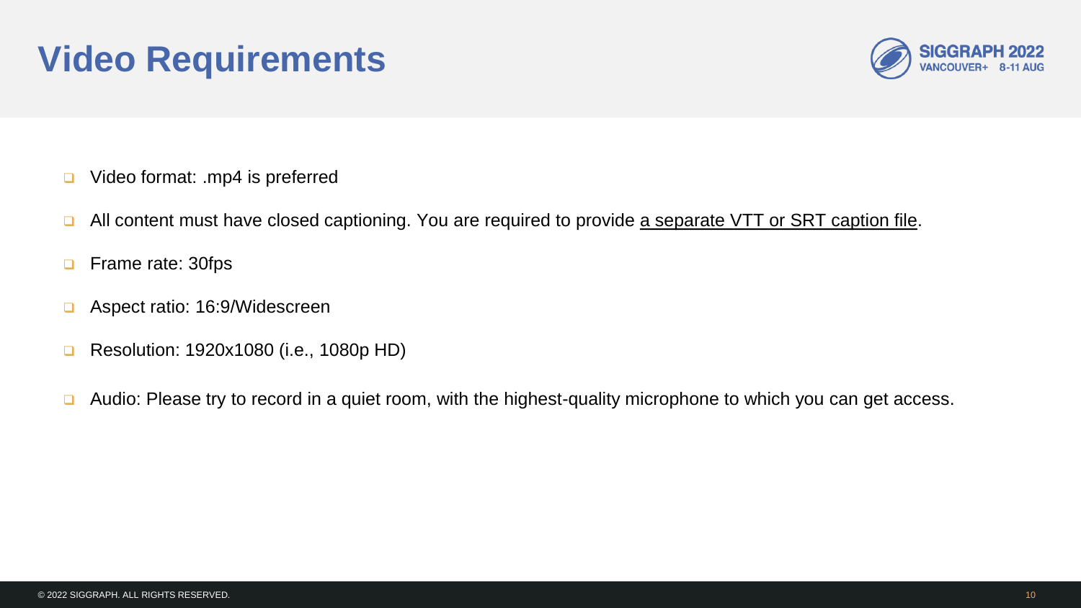### **Video Requirements**



- □ Video format: .mp4 is preferred
- **a** All content must have closed captioning. You are required to provide a separate VTT or SRT caption file.
- **D** Frame rate: 30fps
- Aspect ratio: 16:9/Widescreen
- **Resolution: 1920x1080 (i.e., 1080p HD)**
- □ Audio: Please try to record in a quiet room, with the highest-quality microphone to which you can get access.